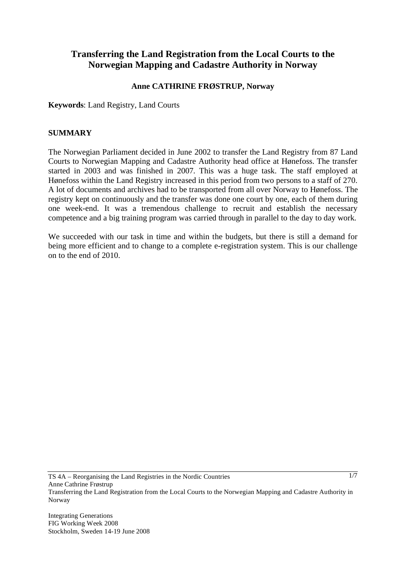# **Transferring the Land Registration from the Local Courts to the Norwegian Mapping and Cadastre Authority in Norway**

#### **Anne CATHRINE FRØSTRUP, Norway**

**Keywords**: Land Registry, Land Courts

#### **SUMMARY**

The Norwegian Parliament decided in June 2002 to transfer the Land Registry from 87 Land Courts to Norwegian Mapping and Cadastre Authority head office at Hønefoss. The transfer started in 2003 and was finished in 2007. This was a huge task. The staff employed at Hønefoss within the Land Registry increased in this period from two persons to a staff of 270. A lot of documents and archives had to be transported from all over Norway to Hønefoss. The registry kept on continuously and the transfer was done one court by one, each of them during one week-end. It was a tremendous challenge to recruit and establish the necessary competence and a big training program was carried through in parallel to the day to day work.

We succeeded with our task in time and within the budgets, but there is still a demand for being more efficient and to change to a complete e-registration system. This is our challenge on to the end of 2010.

TS 4A – Reorganising the Land Registries in the Nordic Countries Anne Cathrine Frøstrup Transferring the Land Registration from the Local Courts to the Norwegian Mapping and Cadastre Authority in Norway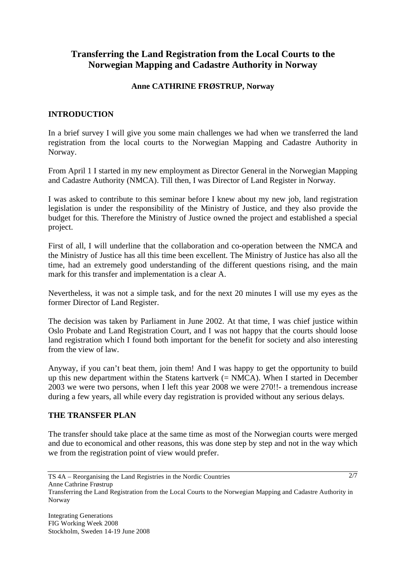# **Transferring the Land Registration from the Local Courts to the Norwegian Mapping and Cadastre Authority in Norway**

#### **Anne CATHRINE FRØSTRUP, Norway**

## **INTRODUCTION**

In a brief survey I will give you some main challenges we had when we transferred the land registration from the local courts to the Norwegian Mapping and Cadastre Authority in Norway.

From April 1 I started in my new employment as Director General in the Norwegian Mapping and Cadastre Authority (NMCA). Till then, I was Director of Land Register in Norway.

I was asked to contribute to this seminar before I knew about my new job, land registration legislation is under the responsibility of the Ministry of Justice, and they also provide the budget for this. Therefore the Ministry of Justice owned the project and established a special project.

First of all, I will underline that the collaboration and co-operation between the NMCA and the Ministry of Justice has all this time been excellent. The Ministry of Justice has also all the time, had an extremely good understanding of the different questions rising, and the main mark for this transfer and implementation is a clear A.

Nevertheless, it was not a simple task, and for the next 20 minutes I will use my eyes as the former Director of Land Register.

The decision was taken by Parliament in June 2002. At that time, I was chief justice within Oslo Probate and Land Registration Court, and I was not happy that the courts should loose land registration which I found both important for the benefit for society and also interesting from the view of law.

Anyway, if you can't beat them, join them! And I was happy to get the opportunity to build up this new department within the Statens kartverk  $(= NMCA)$ . When I started in December 2003 we were two persons, when I left this year 2008 we were 270!!- a tremendous increase during a few years, all while every day registration is provided without any serious delays.

#### **THE TRANSFER PLAN**

The transfer should take place at the same time as most of the Norwegian courts were merged and due to economical and other reasons, this was done step by step and not in the way which we from the registration point of view would prefer.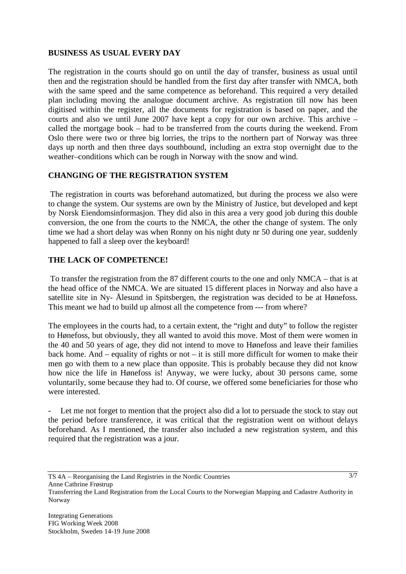#### **BUSINESS AS USUAL EVERY DAY**

The registration in the courts should go on until the day of transfer, business as usual until then and the registration should be handled from the first day after transfer with NMCA, both with the same speed and the same competence as beforehand. This required a very detailed plan including moving the analogue document archive. As registration till now has been digitised within the register, all the documents for registration is based on paper, and the courts and also we until June 2007 have kept a copy for our own archive. This archive – called the mortgage book – had to be transferred from the courts during the weekend. From Oslo there were two or three big lorries, the trips to the northern part of Norway was three days up north and then three days southbound, including an extra stop overnight due to the weather–conditions which can be rough in Norway with the snow and wind.

## **CHANGING OF THE REGISTRATION SYSTEM**

 The registration in courts was beforehand automatized, but during the process we also were to change the system. Our systems are own by the Ministry of Justice, but developed and kept by Norsk Eiendomsinformasjon. They did also in this area a very good job during this double conversion, the one from the courts to the NMCA, the other the change of system. The only time we had a short delay was when Ronny on his night duty nr 50 during one year, suddenly happened to fall a sleep over the keyboard!

## **THE LACK OF COMPETENCE!**

 To transfer the registration from the 87 different courts to the one and only NMCA – that is at the head office of the NMCA. We are situated 15 different places in Norway and also have a satellite site in Ny- Ålesund in Spitsbergen, the registration was decided to be at Hønefoss. This meant we had to build up almost all the competence from --- from where?

The employees in the courts had, to a certain extent, the "right and duty" to follow the register to Hønefoss, but obviously, they all wanted to avoid this move. Most of them were women in the 40 and 50 years of age, they did not intend to move to Hønefoss and leave their families back home. And – equality of rights or not – it is still more difficult for women to make their men go with them to a new place than opposite. This is probably because they did not know how nice the life in Hønefoss is! Anyway, we were lucky, about 30 persons came, some voluntarily, some because they had to. Of course, we offered some beneficiaries for those who were interested.

Let me not forget to mention that the project also did a lot to persuade the stock to stay out the period before transference, it was critical that the registration went on without delays beforehand. As I mentioned, the transfer also included a new registration system, and this required that the registration was a jour.

Anne Cathrine Frøstrup

TS 4A – Reorganising the Land Registries in the Nordic Countries

Transferring the Land Registration from the Local Courts to the Norwegian Mapping and Cadastre Authority in Norway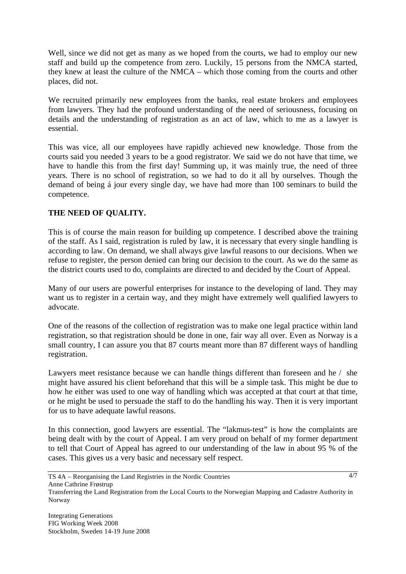Well, since we did not get as many as we hoped from the courts, we had to employ our new staff and build up the competence from zero. Luckily, 15 persons from the NMCA started, they knew at least the culture of the NMCA – which those coming from the courts and other places, did not.

We recruited primarily new employees from the banks, real estate brokers and employees from lawyers. They had the profound understanding of the need of seriousness, focusing on details and the understanding of registration as an act of law, which to me as a lawyer is essential.

This was vice, all our employees have rapidly achieved new knowledge. Those from the courts said you needed 3 years to be a good registrator. We said we do not have that time, we have to handle this from the first day! Summing up, it was mainly true, the need of three years. There is no school of registration, so we had to do it all by ourselves. Though the demand of being á jour every single day, we have had more than 100 seminars to build the competence.

# **THE NEED OF QUALITY.**

This is of course the main reason for building up competence. I described above the training of the staff. As I said, registration is ruled by law, it is necessary that every single handling is according to law. On demand, we shall always give lawful reasons to our decisions. When we refuse to register, the person denied can bring our decision to the court. As we do the same as the district courts used to do, complaints are directed to and decided by the Court of Appeal.

Many of our users are powerful enterprises for instance to the developing of land. They may want us to register in a certain way, and they might have extremely well qualified lawyers to advocate.

One of the reasons of the collection of registration was to make one legal practice within land registration, so that registration should be done in one, fair way all over. Even as Norway is a small country, I can assure you that 87 courts meant more than 87 different ways of handling registration.

Lawyers meet resistance because we can handle things different than foreseen and he / she might have assured his client beforehand that this will be a simple task. This might be due to how he either was used to one way of handling which was accepted at that court at that time, or he might be used to persuade the staff to do the handling his way. Then it is very important for us to have adequate lawful reasons.

In this connection, good lawyers are essential. The "lakmus-test" is how the complaints are being dealt with by the court of Appeal. I am very proud on behalf of my former department to tell that Court of Appeal has agreed to our understanding of the law in about 95 % of the cases. This gives us a very basic and necessary self respect.

TS 4A – Reorganising the Land Registries in the Nordic Countries Anne Cathrine Frøstrup

Transferring the Land Registration from the Local Courts to the Norwegian Mapping and Cadastre Authority in Norway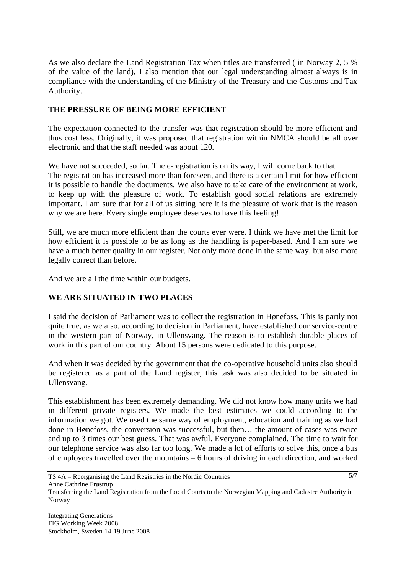As we also declare the Land Registration Tax when titles are transferred ( in Norway 2, 5 % of the value of the land), I also mention that our legal understanding almost always is in compliance with the understanding of the Ministry of the Treasury and the Customs and Tax Authority.

## **THE PRESSURE OF BEING MORE EFFICIENT**

The expectation connected to the transfer was that registration should be more efficient and thus cost less. Originally, it was proposed that registration within NMCA should be all over electronic and that the staff needed was about 120.

We have not succeeded, so far. The e-registration is on its way, I will come back to that. The registration has increased more than foreseen, and there is a certain limit for how efficient it is possible to handle the documents. We also have to take care of the environment at work, to keep up with the pleasure of work. To establish good social relations are extremely important. I am sure that for all of us sitting here it is the pleasure of work that is the reason why we are here. Every single employee deserves to have this feeling!

Still, we are much more efficient than the courts ever were. I think we have met the limit for how efficient it is possible to be as long as the handling is paper-based. And I am sure we have a much better quality in our register. Not only more done in the same way, but also more legally correct than before.

And we are all the time within our budgets.

## **WE ARE SITUATED IN TWO PLACES**

I said the decision of Parliament was to collect the registration in Hønefoss. This is partly not quite true, as we also, according to decision in Parliament, have established our service-centre in the western part of Norway, in Ullensvang. The reason is to establish durable places of work in this part of our country. About 15 persons were dedicated to this purpose.

And when it was decided by the government that the co-operative household units also should be registered as a part of the Land register, this task was also decided to be situated in Ullensvang.

This establishment has been extremely demanding. We did not know how many units we had in different private registers. We made the best estimates we could according to the information we got. We used the same way of employment, education and training as we had done in Hønefoss, the conversion was successful, but then… the amount of cases was twice and up to 3 times our best guess. That was awful. Everyone complained. The time to wait for our telephone service was also far too long. We made a lot of efforts to solve this, once a bus of employees travelled over the mountains – 6 hours of driving in each direction, and worked

Transferring the Land Registration from the Local Courts to the Norwegian Mapping and Cadastre Authority in Norway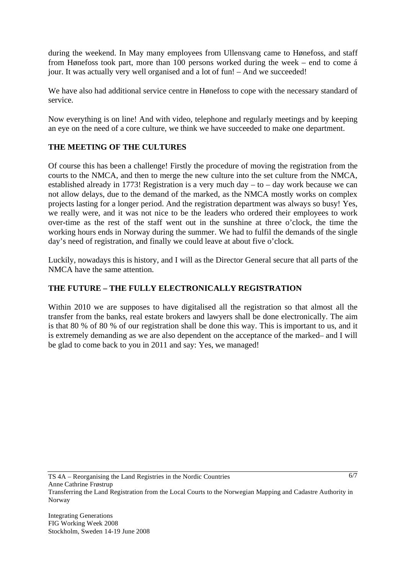during the weekend. In May many employees from Ullensvang came to Hønefoss, and staff from Hønefoss took part, more than 100 persons worked during the week – end to come á jour. It was actually very well organised and a lot of fun! – And we succeeded!

We have also had additional service centre in Hønefoss to cope with the necessary standard of service.

Now everything is on line! And with video, telephone and regularly meetings and by keeping an eye on the need of a core culture, we think we have succeeded to make one department.

## **THE MEETING OF THE CULTURES**

Of course this has been a challenge! Firstly the procedure of moving the registration from the courts to the NMCA, and then to merge the new culture into the set culture from the NMCA, established already in 1773! Registration is a very much day – to – day work because we can not allow delays, due to the demand of the marked, as the NMCA mostly works on complex projects lasting for a longer period. And the registration department was always so busy! Yes, we really were, and it was not nice to be the leaders who ordered their employees to work over-time as the rest of the staff went out in the sunshine at three o'clock, the time the working hours ends in Norway during the summer. We had to fulfil the demands of the single day's need of registration, and finally we could leave at about five o'clock.

Luckily, nowadays this is history, and I will as the Director General secure that all parts of the NMCA have the same attention.

# **THE FUTURE – THE FULLY ELECTRONICALLY REGISTRATION**

Within 2010 we are supposes to have digitalised all the registration so that almost all the transfer from the banks, real estate brokers and lawyers shall be done electronically. The aim is that 80 % of 80 % of our registration shall be done this way. This is important to us, and it is extremely demanding as we are also dependent on the acceptance of the marked– and I will be glad to come back to you in 2011 and say: Yes, we managed!